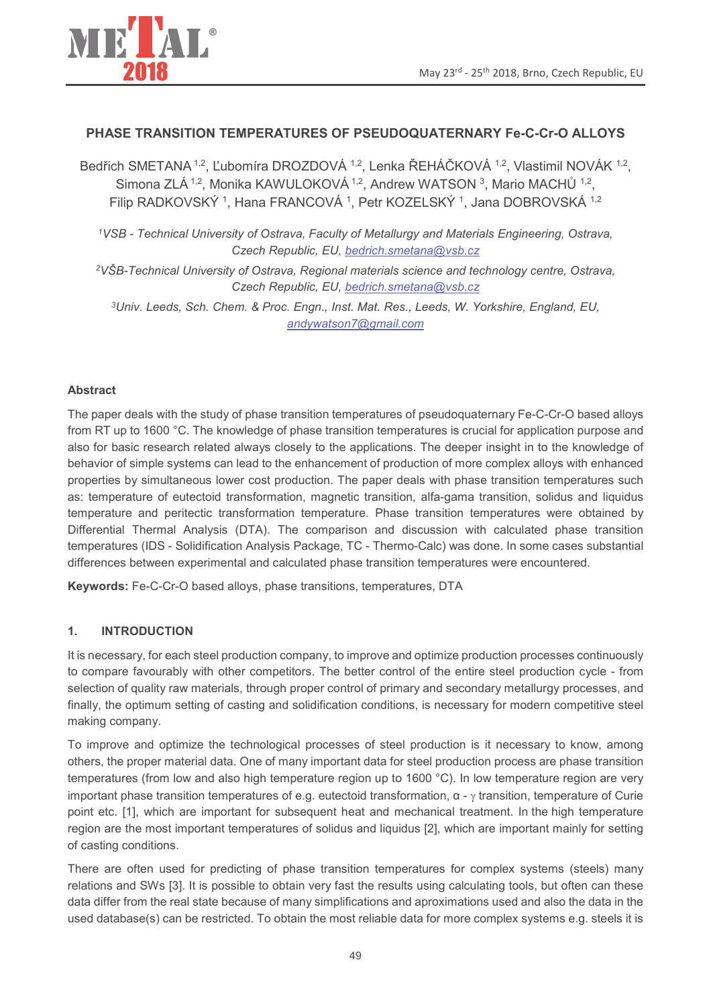

# PHASE TRANSITION TEMPERATURES OF PSEUDOQUATERNARY Fe-C-Cr-O ALLOYS

Bedřich SMETANA<sup>1,2</sup>. Ľubomíra DROZDOVÁ <sup>1,2</sup>. Lenka ŘEHÁČKOVÁ <sup>1,2</sup>. Vlastimil NOVÁK <sup>1,2</sup>. Simona ZLÁ<sup>1,2</sup>, Monika KAWULOKOVÁ<sup>1,2</sup>, Andrew WATSON<sup>3</sup>, Mario MACHŮ<sup>1,2</sup>, Filip RADKOVSKÝ<sup>1</sup>, Hana FRANCOVÁ<sup>1</sup>, Petr KOZELSKÝ<sup>1</sup>, Jana DOBROVSKÁ<sup>1,2</sup>

<sup>1</sup>VSB - Technical University of Ostrava, Faculty of Metallurgy and Materials Engineering, Ostrava, Czech Republic, EU, bedrich.smetana@vsb.cz

<sup>2</sup>VŠB-Technical University of Ostrava. Regional materials science and technology centre. Ostrava. Czech Republic, EU, bedrich.smetana@vsb.cz

<sup>3</sup>Univ. Leeds, Sch. Chem. & Proc. Engn., Inst. Mat. Res., Leeds, W. Yorkshire, England, EU, andywatson7@gmail.com

### **Abstract**

The paper deals with the study of phase transition temperatures of pseudoquaternary Fe-C-Cr-O based alloys from RT up to 1600 °C. The knowledge of phase transition temperatures is crucial for application purpose and also for basic research related always closely to the applications. The deeper insight in to the knowledge of behavior of simple systems can lead to the enhancement of production of more complex alloys with enhanced properties by simultaneous lower cost production. The paper deals with phase transition temperatures such as: temperature of eutectoid transformation, magnetic transition, alfa-gama transition, solidus and liquidus temperature and peritectic transformation temperature. Phase transition temperatures were obtained by Differential Thermal Analysis (DTA). The comparison and discussion with calculated phase transition temperatures (IDS - Solidification Analysis Package, TC - Thermo-Calc) was done. In some cases substantial differences between experimental and calculated phase transition temperatures were encountered.

Keywords: Fe-C-Cr-O based alloys, phase transitions, temperatures, DTA

#### $1.$ **INTRODUCTION**

It is necessary, for each steel production company, to improve and optimize production processes continuously to compare favourably with other competitors. The better control of the entire steel production cycle - from selection of quality raw materials, through proper control of primary and secondary metallurgy processes, and finally, the optimum setting of casting and solidification conditions, is necessary for modern competitive steel making company.

To improve and optimize the technological processes of steel production is it necessary to know, among others, the proper material data. One of many important data for steel production process are phase transition temperatures (from low and also high temperature region up to 1600 °C). In low temperature region are very important phase transition temperatures of e.g. eutectoid transformation,  $\alpha$  -  $\gamma$  transition, temperature of Curie point etc. [1], which are important for subsequent heat and mechanical treatment. In the high temperature region are the most important temperatures of solidus and liquidus [2], which are important mainly for setting of casting conditions.

There are often used for predicting of phase transition temperatures for complex systems (steels) many relations and SWs [3]. It is possible to obtain very fast the results using calculating tools, but often can these data differ from the real state because of many simplifications and aproximations used and also the data in the used database(s) can be restricted. To obtain the most reliable data for more complex systems e.g. steels it is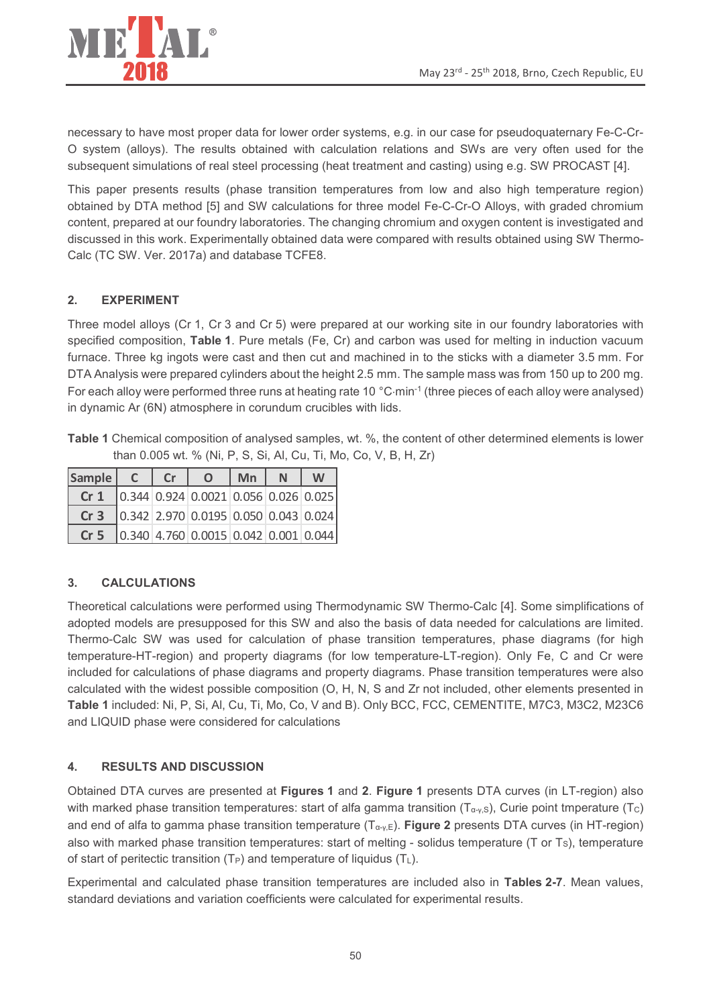

necessary to have most proper data for lower order systems, e.g. in our case for pseudoquaternary Fe-C-Cr-O system (alloys). The results obtained with calculation relations and SWs are very often used for the subsequent simulations of real steel processing (heat treatment and casting) using e.g. SW PROCAST [4].

This paper presents results (phase transition temperatures from low and also high temperature region) obtained by DTA method [5] and SW calculations for three model Fe-C-Cr-O Alloys, with graded chromium content, prepared at our foundry laboratories. The changing chromium and oxygen content is investigated and discussed in this work. Experimentally obtained data were compared with results obtained using SW Thermo-Calc (TC SW. Ver. 2017a) and database TCFE8.

### $2<sub>1</sub>$ **EXPERIMENT**

Three model alloys (Cr 1, Cr 3 and Cr 5) were prepared at our working site in our foundry laboratories with specified composition, Table 1. Pure metals (Fe, Cr) and carbon was used for melting in induction vacuum furnace. Three kg ingots were cast and then cut and machined in to the sticks with a diameter 3.5 mm. For DTA Analysis were prepared cylinders about the height 2.5 mm. The sample mass was from 150 up to 200 mg. For each alloy were performed three runs at heating rate 10 °C·min<sup>-1</sup> (three pieces of each alloy were analysed) in dynamic Ar (6N) atmosphere in corundum crucibles with lids.

Table 1 Chemical composition of analysed samples, wt. %, the content of other determined elements is lower than 0.005 wt. % (Ni, P, S, Si, Al, Cu, Ti, Mo, Co, V, B, H, Zr)

| Sample          | Cr | $\overline{O}$                                                                   | $\mid$ Mn | $\mathbb N$ | W |
|-----------------|----|----------------------------------------------------------------------------------|-----------|-------------|---|
| Cr <sub>1</sub> |    | $\vert$ 0.344 0.924 0.0021 0.056 0.026 0.025                                     |           |             |   |
| Cr <sub>3</sub> |    | $\vert$ 0.342 2.970 0.0195 0.050 0.043 0.024                                     |           |             |   |
| Cr <sub>5</sub> |    | $\vert 0.340 \vert 4.760 \vert 0.0015 \vert 0.042 \vert 0.001 \vert 0.044 \vert$ |           |             |   |

### $3<sub>1</sub>$ **CALCULATIONS**

Theoretical calculations were performed using Thermodynamic SW Thermo-Calc [4]. Some simplifications of adopted models are presupposed for this SW and also the basis of data needed for calculations are limited. Thermo-Calc SW was used for calculation of phase transition temperatures, phase diagrams (for high temperature-HT-region) and property diagrams (for low temperature-LT-region). Only Fe, C and Cr were included for calculations of phase diagrams and property diagrams. Phase transition temperatures were also calculated with the widest possible composition (O, H, N, S and Zr not included, other elements presented in Table 1 included: Ni, P, Si, Al, Cu, Ti, Mo, Co, V and B). Only BCC, FCC, CEMENTITE, M7C3, M3C2, M23C6 and LIQUID phase were considered for calculations

#### $\overline{4}$ . **RESULTS AND DISCUSSION**

Obtained DTA curves are presented at Figures 1 and 2. Figure 1 presents DTA curves (in LT-region) also with marked phase transition temperatures: start of alfa gamma transition  $(T_{\alpha y,s})$ , Curie point tmperature  $(T_c)$ and end of alfa to gamma phase transition temperature  $(T_{\alpha_{\nu},E})$ . Figure 2 presents DTA curves (in HT-region) also with marked phase transition temperatures: start of melting - solidus temperature (T or Ts), temperature of start of peritectic transition ( $T_P$ ) and temperature of liquidus ( $T_L$ ).

Experimental and calculated phase transition temperatures are included also in Tables 2-7. Mean values, standard deviations and variation coefficients were calculated for experimental results.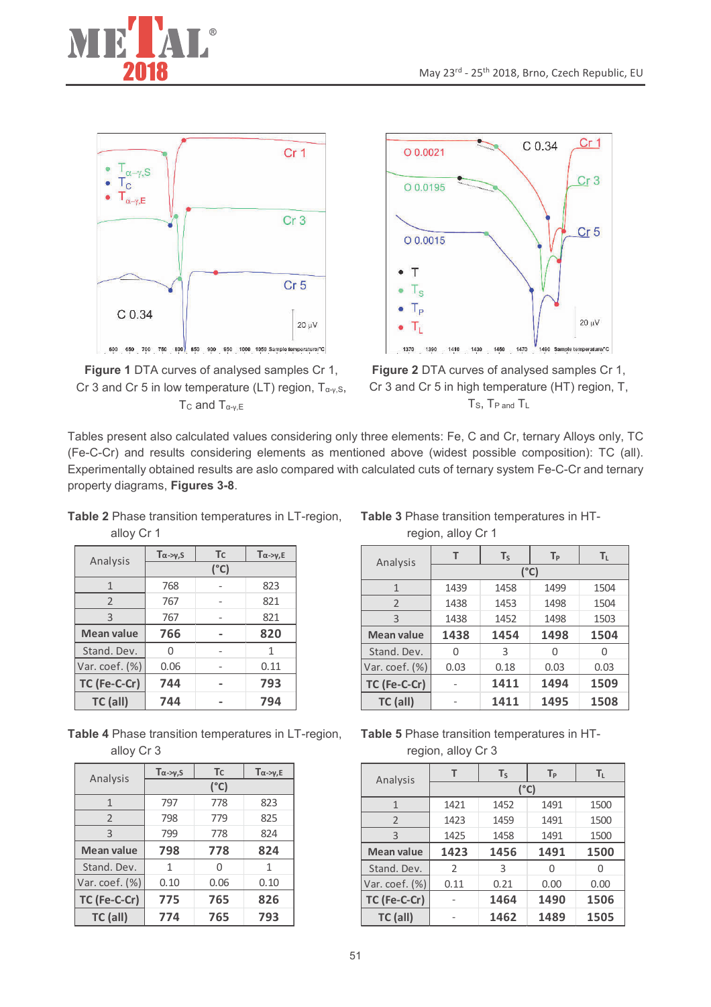







Figure 2 DTA curves of analysed samples Cr 1, Cr 3 and Cr 5 in high temperature (HT) region, T, T<sub>S</sub>, T<sub>P</sub> and T<sub>L</sub>

Tables present also calculated values considering only three elements: Fe, C and Cr, ternary Alloys only, TC (Fe-C-Cr) and results considering elements as mentioned above (widest possible composition): TC (all). Experimentally obtained results are aslo compared with calculated cuts of ternary system Fe-C-Cr and ternary property diagrams, Figures 3-8.

Table 2 Phase transition temperatures in LT-region, alloy Cr 1

|                   | $T\alpha \rightarrow \gamma, S$ | Tc | $T\alpha \rightarrow \gamma, E$ |  |  |
|-------------------|---------------------------------|----|---------------------------------|--|--|
| Analysis          | $(^{\circ}C)$                   |    |                                 |  |  |
| 1                 | 768                             |    | 823                             |  |  |
| $\overline{2}$    | 767                             |    | 821                             |  |  |
| 3                 | 767                             |    | 821                             |  |  |
| <b>Mean value</b> | 766                             |    | 820                             |  |  |
| Stand. Dev.       |                                 |    | 1                               |  |  |
| Var. coef. (%)    | 0.06                            |    | 0.11                            |  |  |
| TC (Fe-C-Cr)      | 744                             |    | 793                             |  |  |
| TC (all)          | 744                             |    | 794                             |  |  |

Table 4 Phase transition temperatures in LT-region, alloy Cr 3

|                   | $T\alpha \rightarrow \gamma, S$ | <b>T</b> c | $T\alpha \rightarrow \gamma, E$ |  |  |
|-------------------|---------------------------------|------------|---------------------------------|--|--|
| Analysis          | (°C)                            |            |                                 |  |  |
| $\mathbf{1}$      | 797                             | 778        | 823                             |  |  |
| $\overline{2}$    | 798                             | 779        | 825                             |  |  |
| 3                 | 799                             | 778        | 824                             |  |  |
| <b>Mean value</b> | 798                             | 778        | 824                             |  |  |
| Stand. Dev.       | 1                               | U          | 1                               |  |  |
| Var. coef. (%)    | 0.10                            | 0.06       | 0.10                            |  |  |
| TC (Fe-C-Cr)      | 775                             | 765        | 826                             |  |  |
| TC (all)          | 774                             | 765        | 793                             |  |  |

Table 3 Phase transition temperatures in HTregion, alloy Cr 1

| Analysis          | T             | $T_S$ | $T_{\rm p}$ | $T_{L}$ |  |  |
|-------------------|---------------|-------|-------------|---------|--|--|
|                   | $(^{\circ}C)$ |       |             |         |  |  |
| 1                 | 1439          | 1458  | 1499        | 1504    |  |  |
| $\overline{2}$    | 1438          | 1453  | 1498        | 1504    |  |  |
| 3                 | 1438          | 1452  | 1498        | 1503    |  |  |
| <b>Mean value</b> | 1438          | 1454  | 1498        | 1504    |  |  |
| Stand. Dev.       | 0             | 3     | U           | U       |  |  |
| Var. coef. (%)    | 0.03          | 0.18  | 0.03        | 0.03    |  |  |
| TC (Fe-C-Cr)      |               | 1411  | 1494        | 1509    |  |  |
| TC (all)          |               | 1411  | 1495        | 1508    |  |  |

Table 5 Phase transition temperatures in HTregion, alloy Cr 3

| Analysis            | т              | $T_S$ | $T_{\rm p}$ | $T_{L}$ |  |
|---------------------|----------------|-------|-------------|---------|--|
|                     | (°C)           |       |             |         |  |
| 1                   | 1421           | 1452  | 1491        | 1500    |  |
| $\overline{2}$      | 1423           | 1459  | 1491        | 1500    |  |
| 3                   | 1425           | 1458  | 1491        | 1500    |  |
| <b>Mean value</b>   | 1423           | 1456  | 1491        | 1500    |  |
| Stand. Dev.         | $\mathfrak{D}$ | 3     | O           |         |  |
| Var. $coef.$ $(\%)$ | 0.11           | 0.21  | 0.00        | 0.00    |  |
| TC (Fe-C-Cr)        |                | 1464  | 1490        | 1506    |  |
| TC (all)            |                | 1462  | 1489        | 1505    |  |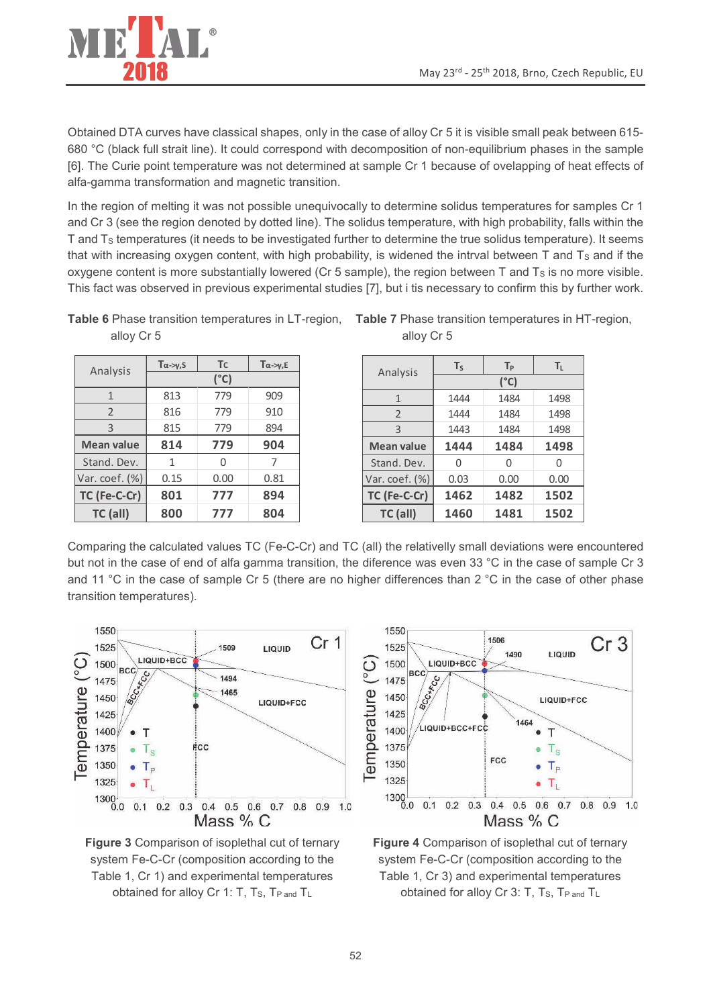

Obtained DTA curves have classical shapes, only in the case of alloy Cr 5 it is visible small peak between 615-680 °C (black full strait line). It could correspond with decomposition of non-equilibrium phases in the sample [6]. The Curie point temperature was not determined at sample Cr 1 because of ovelapping of heat effects of alfa-gamma transformation and magnetic transition.

In the region of melting it was not possible unequivocally to determine solidus temperatures for samples Cr 1 and Cr 3 (see the region denoted by dotted line). The solidus temperature, with high probability, falls within the T and T<sub>s</sub> temperatures (it needs to be investigated further to determine the true solidus temperature). It seems that with increasing oxygen content, with high probability, is widened the intrval between T and Ts and if the oxygene content is more substantially lowered (Cr 5 sample), the region between  $T$  and  $T_s$  is no more visible. This fact was observed in previous experimental studies [7], but i tis necessary to confirm this by further work.

Table 6 Phase transition temperatures in LT-region, Table 7 Phase transition temperatures in HT-region, alloy Cr 5

|                   | $T\alpha \rightarrow \gamma, S$ | <b>T</b> c | $T\alpha \rightarrow \nu, E$ |  |  |
|-------------------|---------------------------------|------------|------------------------------|--|--|
| Analysis          | (°C)                            |            |                              |  |  |
| $\mathbf{1}$      | 813                             | 779        | 909                          |  |  |
| $\overline{2}$    | 816                             | 779        | 910                          |  |  |
| 3                 | 815                             | 779        | 894                          |  |  |
| <b>Mean value</b> | 814                             | 779        | 904                          |  |  |
| Stand. Dev.       | 1                               | N          |                              |  |  |
| Var. coef. (%)    | 0.15                            | 0.00       | 0.81                         |  |  |
| TC (Fe-C-Cr)      | 801                             | 777        | 894                          |  |  |
| TC (all)          | 800                             | 777        | 804                          |  |  |

alloy Cr 5

| Analysis           | $T_S$ | $T_{P}$ | $T_{L}$ |  |  |
|--------------------|-------|---------|---------|--|--|
|                    | (°C)  |         |         |  |  |
| $\mathbf{1}$       | 1444  | 1484    | 1498    |  |  |
| $\overline{2}$     | 1444  | 1484    | 1498    |  |  |
| 3                  | 1443  | 1484    | 1498    |  |  |
| <b>Mean value</b>  | 1444  | 1484    | 1498    |  |  |
| Stand. Dev.        | 0     | N       | Ω       |  |  |
| Var. $coef.$ $(*)$ | 0.03  | 0.00    | 0.00    |  |  |
| TC (Fe-C-Cr)       | 1462  | 1482    | 1502    |  |  |
| TC (all)           | 1460  | 1481    | 1502    |  |  |

Comparing the calculated values TC (Fe-C-Cr) and TC (all) the relativelly small deviations were encountered but not in the case of end of alfa gamma transition, the diference was even 33 °C in the case of sample Cr 3 and 11 °C in the case of sample Cr 5 (there are no higher differences than 2 °C in the case of other phase transition temperatures).



Figure 3 Comparison of isoplethal cut of ternary system Fe-C-Cr (composition according to the Table 1, Cr 1) and experimental temperatures obtained for alloy Cr 1: T, T<sub>S</sub>, T<sub>P and</sub> T<sub>L</sub>



Figure 4 Comparison of isoplethal cut of ternary system Fe-C-Cr (composition according to the Table 1, Cr 3) and experimental temperatures obtained for alloy Cr 3: T, T<sub>S</sub>, T<sub>P and</sub> T<sub>L</sub>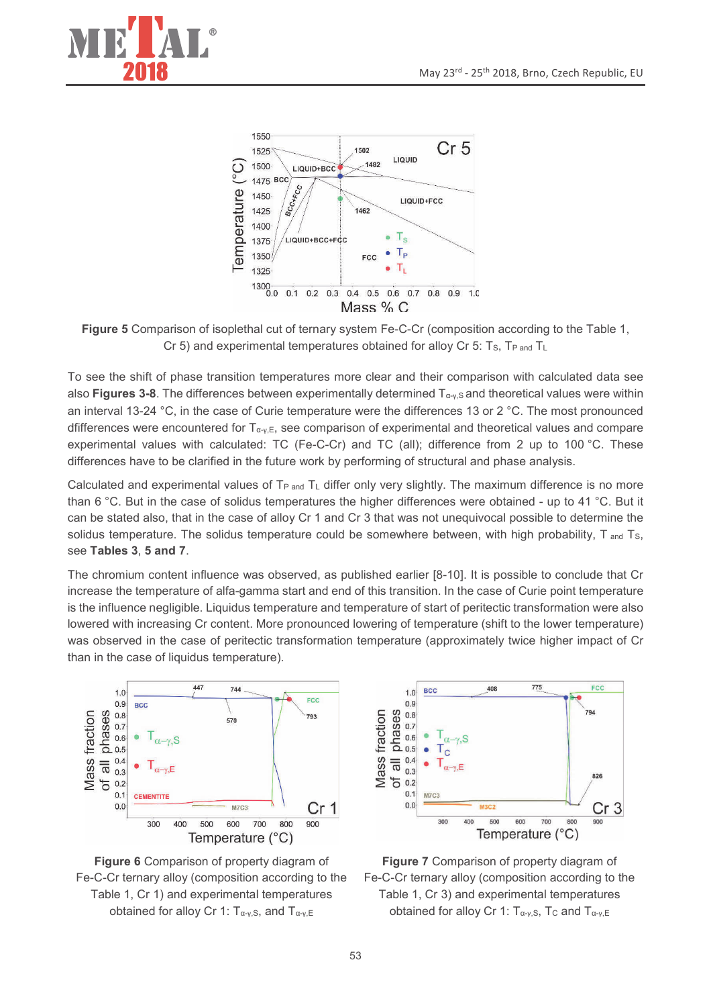



Figure 5 Comparison of isoplethal cut of ternary system Fe-C-Cr (composition according to the Table 1, Cr 5) and experimental temperatures obtained for alloy Cr 5: Ts, TP and TL

To see the shift of phase transition temperatures more clear and their comparison with calculated data see also Figures 3-8. The differences between experimentally determined  $T_{\alpha\gamma, S}$  and theoretical values were within an interval 13-24 °C, in the case of Curie temperature were the differences 13 or 2 °C. The most pronounced dfifferences were encountered for  $T_{\alpha_{\nu},E}$ , see comparison of experimental and theoretical values and compare experimental values with calculated: TC (Fe-C-Cr) and TC (all); difference from 2 up to 100 °C. These differences have to be clarified in the future work by performing of structural and phase analysis.

Calculated and experimental values of T<sub>P and</sub> T<sub>L</sub> differ only very slightly. The maximum difference is no more than 6 °C. But in the case of solidus temperatures the higher differences were obtained - up to 41 °C. But it can be stated also, that in the case of alloy Cr 1 and Cr 3 that was not unequivocal possible to determine the solidus temperature. The solidus temperature could be somewhere between, with high probability, T and Ts, see Tables 3, 5 and 7.

The chromium content influence was observed, as published earlier [8-10]. It is possible to conclude that Cr increase the temperature of alfa-gamma start and end of this transition. In the case of Curie point temperature is the influence negligible. Liquidus temperature and temperature of start of peritectic transformation were also lowered with increasing Cr content. More pronounced lowering of temperature (shift to the lower temperature) was observed in the case of peritectic transformation temperature (approximately twice higher impact of Cr than in the case of liquidus temperature).







Figure 7 Comparison of property diagram of Fe-C-Cr ternary alloy (composition according to the Table 1, Cr 3) and experimental temperatures obtained for alloy Cr 1:  $T_{\alpha-\gamma,S}$ , Tc and  $T_{\alpha-\gamma,E}$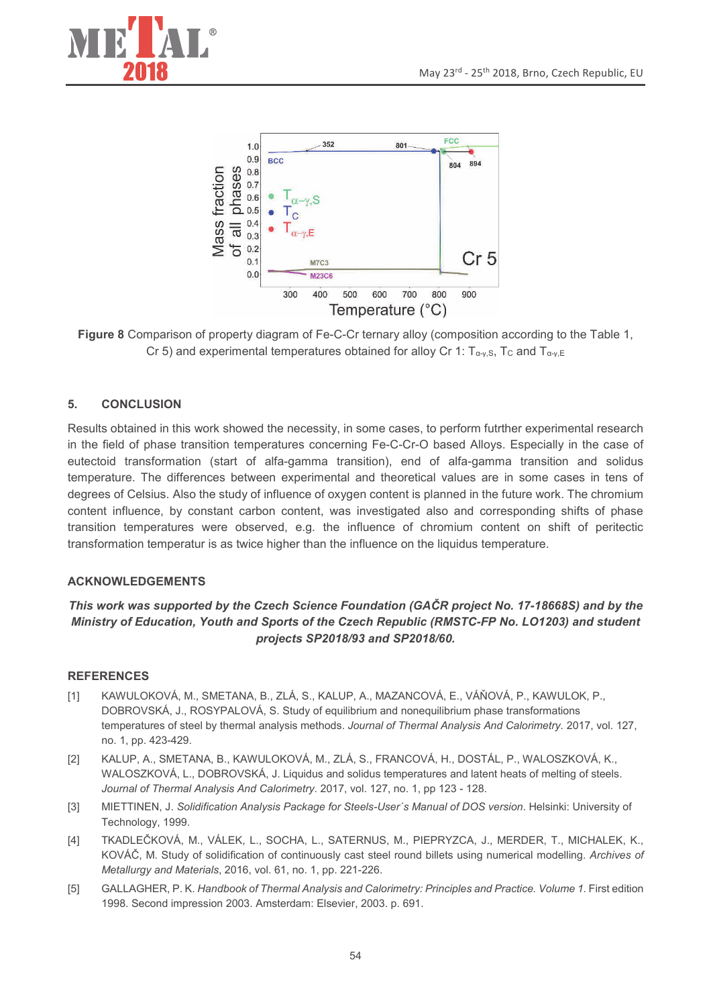



Figure 8 Comparison of property diagram of Fe-C-Cr ternary alloy (composition according to the Table 1, Cr 5) and experimental temperatures obtained for alloy Cr 1:  $T_{\alpha_v, S}$ , T<sub>c</sub> and  $T_{\alpha_v, E}$ 

#### **CONCLUSION** 5.

Results obtained in this work showed the necessity, in some cases, to perform futrther experimental research in the field of phase transition temperatures concerning Fe-C-Cr-O based Alloys. Especially in the case of eutectoid transformation (start of alfa-gamma transition), end of alfa-gamma transition and solidus temperature. The differences between experimental and theoretical values are in some cases in tens of degrees of Celsius. Also the study of influence of oxygen content is planned in the future work. The chromium content influence, by constant carbon content, was investigated also and corresponding shifts of phase transition temperatures were observed, e.g. the influence of chromium content on shift of peritectic transformation temperatur is as twice higher than the influence on the liquidus temperature.

## **ACKNOWLEDGEMENTS**

# This work was supported by the Czech Science Foundation (GACR project No. 17-18668S) and by the Ministry of Education, Youth and Sports of the Czech Republic (RMSTC-FP No. LO1203) and student projects SP2018/93 and SP2018/60.

## **REFERENCES**

- KAWULOKOVÁ, M., SMETANA, B., ZLÁ, S., KALUP, A., MAZANCOVÁ, E., VÁŇOVÁ, P., KAWULOK, P.,  $[1]$ DOBROVSKÁ, J., ROSYPALOVÁ, S. Study of equilibrium and nonequilibrium phase transformations temperatures of steel by thermal analysis methods. Journal of Thermal Analysis And Calorimetry. 2017, vol. 127, no. 1, pp. 423-429.
- KALUP, A., SMETANA, B., KAWULOKOVÁ, M., ZLÁ, S., FRANCOVÁ, H., DOSTÁL, P., WALOSZKOVÁ, K.,  $[2]$ WALOSZKOVÁ, L., DOBROVSKÁ, J. Liquidus and solidus temperatures and latent heats of melting of steels. Journal of Thermal Analysis And Calorimetry. 2017, vol. 127, no. 1, pp 123 - 128.
- $\lceil 3 \rceil$ MIETTINEN, J. Solidification Analysis Package for Steels-User's Manual of DOS version. Helsinki: University of Technology, 1999.
- $[4]$ TKADLEČKOVÁ, M., VÁLEK, L., SOCHA, L., SATERNUS, M., PIEPRYZCA, J., MERDER, T., MICHALEK, K., KOVÁČ, M. Study of solidification of continuously cast steel round billets using numerical modelling. Archives of Metallurgy and Materials, 2016, vol. 61, no. 1, pp. 221-226.
- GALLAGHER, P. K. Handbook of Thermal Analysis and Calorimetry: Principles and Practice. Volume 1. First edition  $[5]$ 1998. Second impression 2003. Amsterdam: Elsevier, 2003. p. 691.